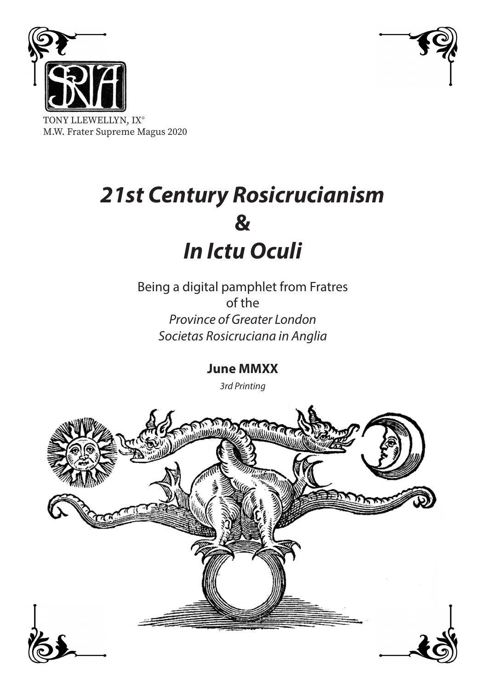



TONY LLEWELLYN, IX° M.W. Frater Supreme Magus 2020

# *21st Century Rosicrucianism* **&** *In Ictu Oculi*

Being a digital pamphlet from Fratres of the *Province of Greater London Societas Rosicruciana in Anglia*

**June MMXX**

*3rd Printing*

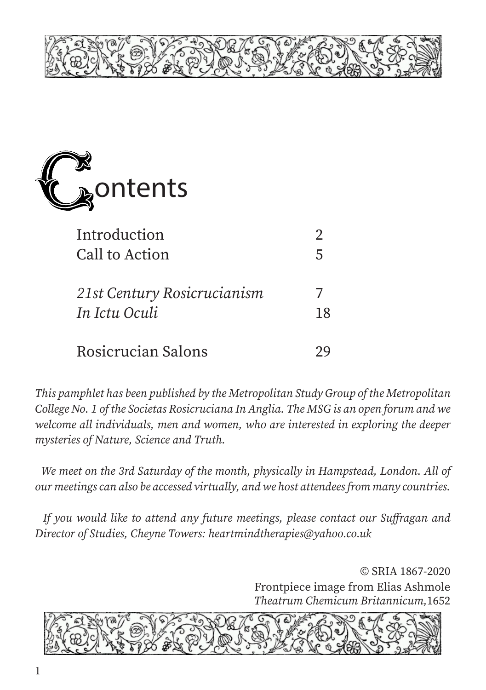



| Introduction                |    |
|-----------------------------|----|
| Call to Action              | 5  |
|                             |    |
| 21st Century Rosicrucianism |    |
| In Ictu Oculi               | 18 |
|                             |    |
| Rosicrucian Salons          |    |

*This pamphlet has been published by the Metropolitan Study Group of the Metropolitan College No. 1 of the Societas Rosicruciana In Anglia. The MSG is an open forum and we welcome all individuals, men and women, who are interested in exploring the deeper mysteries of Nature, Science and Truth.*

 *We meet on the 3rd Saturday of the month, physically in Hampstead, London. All of our meetings can also be accessed virtually, and we host attendees from many countries.* 

 *If you would like to attend any future meetings, please contact our Suffragan and Director of Studies, Cheyne Towers: heartmindtherapies@yahoo.co.uk*

> © SRIA 1867-2020 Frontpiece image from Elias Ashmole *Theatrum Chemicum Britannicum,*1652

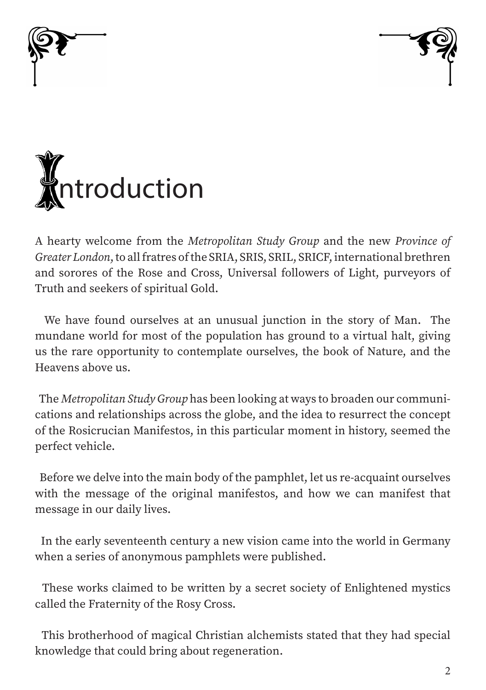





A hearty welcome from the *Metropolitan Study Group* and the new *Province of Greater London*, to all fratres of the SRIA, SRIS, SRIL, SRICF, international brethren and sorores of the Rose and Cross, Universal followers of Light, purveyors of Truth and seekers of spiritual Gold.

 We have found ourselves at an unusual junction in the story of Man. The mundane world for most of the population has ground to a virtual halt, giving us the rare opportunity to contemplate ourselves, the book of Nature, and the Heavens above us.

 The *Metropolitan Study Group* has been looking at ways to broaden our communications and relationships across the globe, and the idea to resurrect the concept of the Rosicrucian Manifestos, in this particular moment in history, seemed the perfect vehicle.

 Before we delve into the main body of the pamphlet, let us re-acquaint ourselves with the message of the original manifestos, and how we can manifest that message in our daily lives.

 In the early seventeenth century a new vision came into the world in Germany when a series of anonymous pamphlets were published.

 These works claimed to be written by a secret society of Enlightened mystics called the Fraternity of the Rosy Cross.

 This brotherhood of magical Christian alchemists stated that they had special knowledge that could bring about regeneration.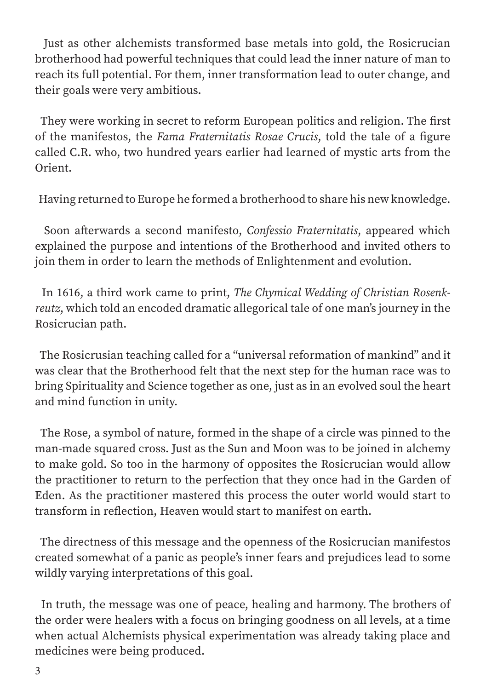Just as other alchemists transformed base metals into gold, the Rosicrucian brotherhood had powerful techniques that could lead the inner nature of man to reach its full potential. For them, inner transformation lead to outer change, and their goals were very ambitious.

 They were working in secret to reform European politics and religion. The first of the manifestos, the *Fama Fraternitatis Rosae Crucis*, told the tale of a figure called C.R. who, two hundred years earlier had learned of mystic arts from the Orient.

Having returned to Europe he formed a brotherhood to share his new knowledge.

 Soon afterwards a second manifesto, *Confessio Fraternitatis*, appeared which explained the purpose and intentions of the Brotherhood and invited others to join them in order to learn the methods of Enlightenment and evolution.

 In 1616, a third work came to print, *The Chymical Wedding of Christian Rosenkreutz*, which told an encoded dramatic allegorical tale of one man's journey in the Rosicrucian path.

 The Rosicrusian teaching called for a "universal reformation of mankind" and it was clear that the Brotherhood felt that the next step for the human race was to bring Spirituality and Science together as one, just as in an evolved soul the heart and mind function in unity.

 The Rose, a symbol of nature, formed in the shape of a circle was pinned to the man-made squared cross. Just as the Sun and Moon was to be joined in alchemy to make gold. So too in the harmony of opposites the Rosicrucian would allow the practitioner to return to the perfection that they once had in the Garden of Eden. As the practitioner mastered this process the outer world would start to transform in reflection, Heaven would start to manifest on earth.

 The directness of this message and the openness of the Rosicrucian manifestos created somewhat of a panic as people's inner fears and prejudices lead to some wildly varying interpretations of this goal.

 In truth, the message was one of peace, healing and harmony. The brothers of the order were healers with a focus on bringing goodness on all levels, at a time when actual Alchemists physical experimentation was already taking place and medicines were being produced.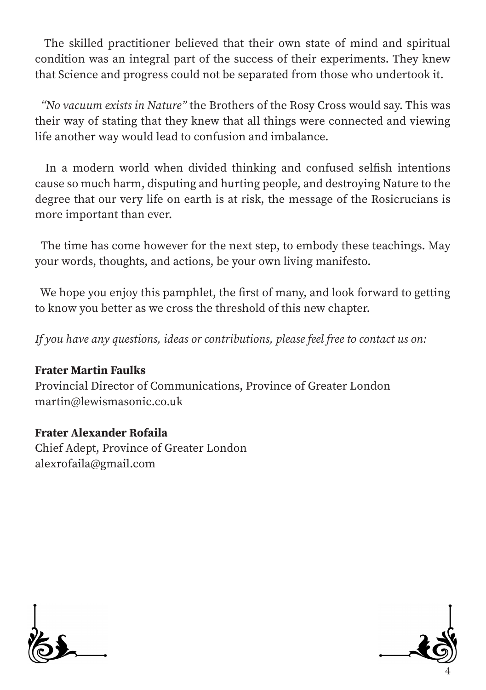The skilled practitioner believed that their own state of mind and spiritual condition was an integral part of the success of their experiments. They knew that Science and progress could not be separated from those who undertook it.

 *"No vacuum exists in Nature"* the Brothers of the Rosy Cross would say. This was their way of stating that they knew that all things were connected and viewing life another way would lead to confusion and imbalance.

 In a modern world when divided thinking and confused selfish intentions cause so much harm, disputing and hurting people, and destroying Nature to the degree that our very life on earth is at risk, the message of the Rosicrucians is more important than ever.

 The time has come however for the next step, to embody these teachings. May your words, thoughts, and actions, be your own living manifesto.

 We hope you enjoy this pamphlet, the first of many, and look forward to getting to know you better as we cross the threshold of this new chapter.

*If you have any questions, ideas or contributions, please feel free to contact us on:*

#### Frater Martin Faulks

Provincial Director of Communications, Province of Greater London martin@lewismasonic.co.uk

#### Frater Alexander Rofaila

Chief Adept, Province of Greater London alexrofaila@gmail.com



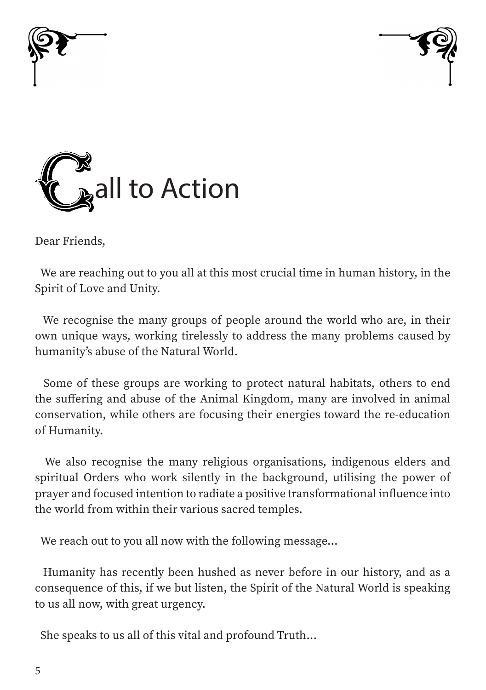





Dear Friends,

 We are reaching out to you all at this most crucial time in human history, in the Spirit of Love and Unity.

 We recognise the many groups of people around the world who are, in their own unique ways, working tirelessly to address the many problems caused by humanity's abuse of the Natural World.

 Some of these groups are working to protect natural habitats, others to end the suffering and abuse of the Animal Kingdom, many are involved in animal conservation, while others are focusing their energies toward the re-education of Humanity.

 We also recognise the many religious organisations, indigenous elders and spiritual Orders who work silently in the background, utilising the power of prayer and focused intention to radiate a positive transformational influence into the world from within their various sacred temples.

We reach out to you all now with the following message...

 Humanity has recently been hushed as never before in our history, and as a consequence of this, if we but listen, the Spirit of the Natural World is speaking to us all now, with great urgency.

She speaks to us all of this vital and profound Truth...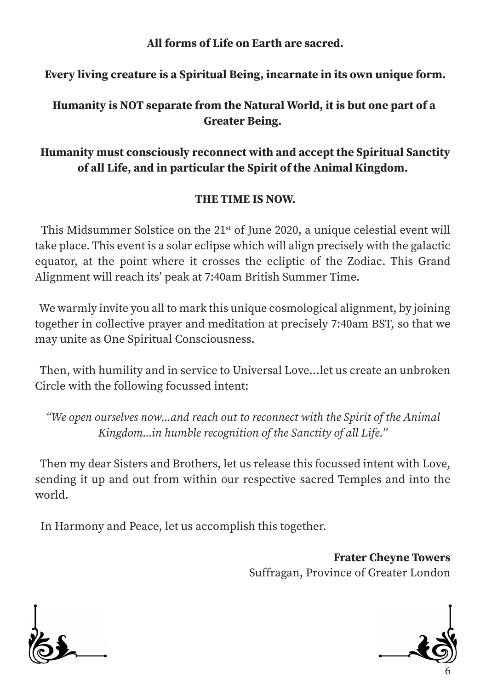All forms of Life on Earth are sacred.

#### Every living creature is a Spiritual Being, incarnate in its own unique form.

#### Humanity is NOT separate from the Natural World, it is but one part of a Greater Being.

# Humanity must consciously reconnect with and accept the Spiritual Sanctity of all Life, and in particular the Spirit of the Animal Kingdom.

#### THE TIME IS NOW.

This Midsummer Solstice on the  $21<sup>st</sup>$  of June 2020, a unique celestial event will take place. This event is a solar eclipse which will align precisely with the galactic equator, at the point where it crosses the ecliptic of the Zodiac. This Grand Alignment will reach its' peak at 7:40am British Summer Time.

 We warmly invite you all to mark this unique cosmological alignment, by joining together in collective prayer and meditation at precisely 7:40am BST, so that we may unite as One Spiritual Consciousness.

 Then, with humility and in service to Universal Love...let us create an unbroken Circle with the following focussed intent:

*"We open ourselves now...and reach out to reconnect with the Spirit of the Animal Kingdom...in humble recognition of the Sanctity of all Life."*

 Then my dear Sisters and Brothers, let us release this focussed intent with Love, sending it up and out from within our respective sacred Temples and into the world.

In Harmony and Peace, let us accomplish this together.

Frater Cheyne Towers Suffragan, Province of Greater London



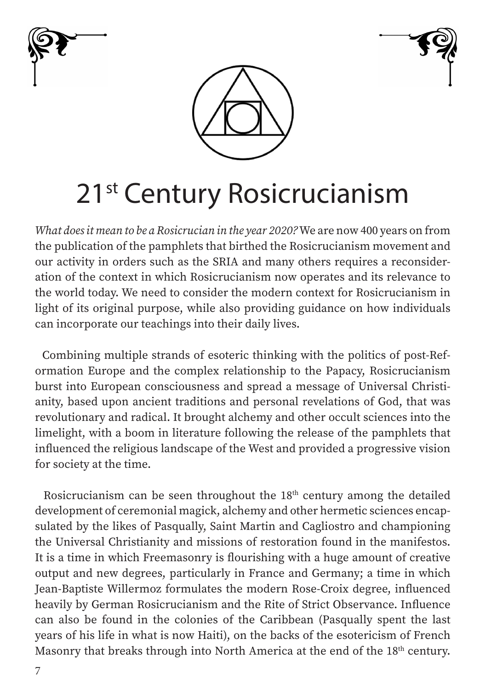





# 21<sup>st</sup> Century Rosicrucianism

*What does it mean to be a Rosicrucian in the year 2020?* We are now 400 years on from the publication of the pamphlets that birthed the Rosicrucianism movement and our activity in orders such as the SRIA and many others requires a reconsideration of the context in which Rosicrucianism now operates and its relevance to the world today. We need to consider the modern context for Rosicrucianism in light of its original purpose, while also providing guidance on how individuals can incorporate our teachings into their daily lives.

 Combining multiple strands of esoteric thinking with the politics of post-Reformation Europe and the complex relationship to the Papacy, Rosicrucianism burst into European consciousness and spread a message of Universal Christianity, based upon ancient traditions and personal revelations of God, that was revolutionary and radical. It brought alchemy and other occult sciences into the limelight, with a boom in literature following the release of the pamphlets that influenced the religious landscape of the West and provided a progressive vision for society at the time.

Rosicrucianism can be seen throughout the 18<sup>th</sup> century among the detailed development of ceremonial magick, alchemy and other hermetic sciences encapsulated by the likes of Pasqually, Saint Martin and Cagliostro and championing the Universal Christianity and missions of restoration found in the manifestos. It is a time in which Freemasonry is flourishing with a huge amount of creative output and new degrees, particularly in France and Germany; a time in which Jean-Baptiste Willermoz formulates the modern Rose-Croix degree, influenced heavily by German Rosicrucianism and the Rite of Strict Observance. Influence can also be found in the colonies of the Caribbean (Pasqually spent the last years of his life in what is now Haiti), on the backs of the esotericism of French Masonry that breaks through into North America at the end of the 18<sup>th</sup> century.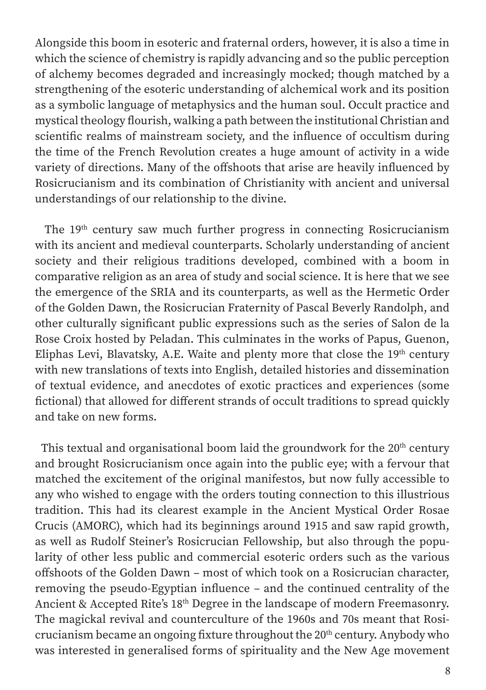Alongside this boom in esoteric and fraternal orders, however, it is also a time in which the science of chemistry is rapidly advancing and so the public perception of alchemy becomes degraded and increasingly mocked; though matched by a strengthening of the esoteric understanding of alchemical work and its position as a symbolic language of metaphysics and the human soul. Occult practice and mystical theology flourish, walking a path between the institutional Christian and scientific realms of mainstream society, and the influence of occultism during the time of the French Revolution creates a huge amount of activity in a wide variety of directions. Many of the offshoots that arise are heavily influenced by Rosicrucianism and its combination of Christianity with ancient and universal understandings of our relationship to the divine.

The 19<sup>th</sup> century saw much further progress in connecting Rosicrucianism with its ancient and medieval counterparts. Scholarly understanding of ancient society and their religious traditions developed, combined with a boom in comparative religion as an area of study and social science. It is here that we see the emergence of the SRIA and its counterparts, as well as the Hermetic Order of the Golden Dawn, the Rosicrucian Fraternity of Pascal Beverly Randolph, and other culturally significant public expressions such as the series of Salon de la Rose Croix hosted by Peladan. This culminates in the works of Papus, Guenon, Eliphas Levi, Blavatsky, A.E. Waite and plenty more that close the 19<sup>th</sup> century with new translations of texts into English, detailed histories and dissemination of textual evidence, and anecdotes of exotic practices and experiences (some fictional) that allowed for different strands of occult traditions to spread quickly and take on new forms.

This textual and organisational boom laid the groundwork for the  $20<sup>th</sup>$  century and brought Rosicrucianism once again into the public eye; with a fervour that matched the excitement of the original manifestos, but now fully accessible to any who wished to engage with the orders touting connection to this illustrious tradition. This had its clearest example in the Ancient Mystical Order Rosae Crucis (AMORC), which had its beginnings around 1915 and saw rapid growth, as well as Rudolf Steiner's Rosicrucian Fellowship, but also through the popularity of other less public and commercial esoteric orders such as the various offshoots of the Golden Dawn *–* most of which took on a Rosicrucian character, removing the pseudo-Egyptian influence *–* and the continued centrality of the Ancient & Accepted Rite's 18<sup>th</sup> Degree in the landscape of modern Freemasonry. The magickal revival and counterculture of the 1960s and 70s meant that Rosicrucianism became an ongoing fixture throughout the 20<sup>th</sup> century. Anybody who was interested in generalised forms of spirituality and the New Age movement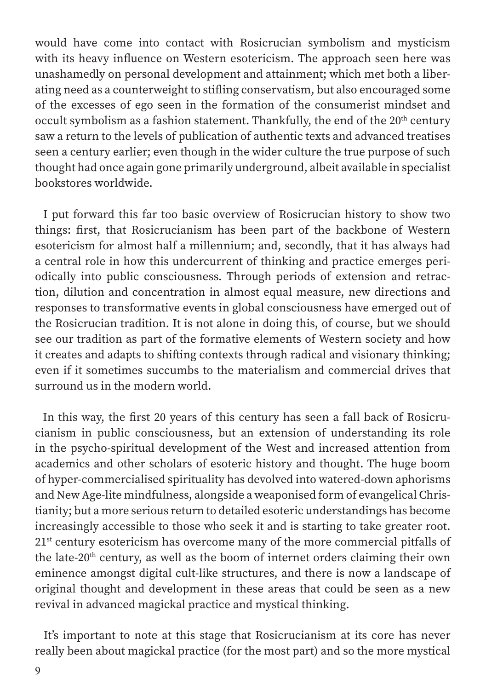would have come into contact with Rosicrucian symbolism and mysticism with its heavy influence on Western esotericism. The approach seen here was unashamedly on personal development and attainment; which met both a liberating need as a counterweight to stifling conservatism, but also encouraged some of the excesses of ego seen in the formation of the consumerist mindset and occult symbolism as a fashion statement. Thankfully, the end of the 20<sup>th</sup> century saw a return to the levels of publication of authentic texts and advanced treatises seen a century earlier; even though in the wider culture the true purpose of such thought had once again gone primarily underground, albeit available in specialist bookstores worldwide.

 I put forward this far too basic overview of Rosicrucian history to show two things: first, that Rosicrucianism has been part of the backbone of Western esotericism for almost half a millennium; and, secondly, that it has always had a central role in how this undercurrent of thinking and practice emerges periodically into public consciousness. Through periods of extension and retraction, dilution and concentration in almost equal measure, new directions and responses to transformative events in global consciousness have emerged out of the Rosicrucian tradition. It is not alone in doing this, of course, but we should see our tradition as part of the formative elements of Western society and how it creates and adapts to shifting contexts through radical and visionary thinking; even if it sometimes succumbs to the materialism and commercial drives that surround us in the modern world.

 In this way, the first 20 years of this century has seen a fall back of Rosicrucianism in public consciousness, but an extension of understanding its role in the psycho-spiritual development of the West and increased attention from academics and other scholars of esoteric history and thought. The huge boom of hyper-commercialised spirituality has devolved into watered-down aphorisms and New Age-lite mindfulness, alongside a weaponised form of evangelical Christianity; but a more serious return to detailed esoteric understandings has become increasingly accessible to those who seek it and is starting to take greater root. 21<sup>st</sup> century esotericism has overcome many of the more commercial pitfalls of the late-20th century, as well as the boom of internet orders claiming their own eminence amongst digital cult-like structures, and there is now a landscape of original thought and development in these areas that could be seen as a new revival in advanced magickal practice and mystical thinking.

 It's important to note at this stage that Rosicrucianism at its core has never really been about magickal practice (for the most part) and so the more mystical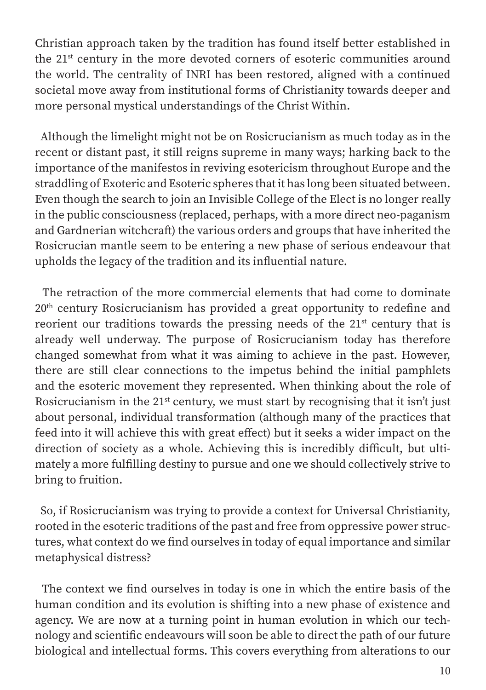Christian approach taken by the tradition has found itself better established in the 21st century in the more devoted corners of esoteric communities around the world. The centrality of INRI has been restored, aligned with a continued societal move away from institutional forms of Christianity towards deeper and more personal mystical understandings of the Christ Within.

 Although the limelight might not be on Rosicrucianism as much today as in the recent or distant past, it still reigns supreme in many ways; harking back to the importance of the manifestos in reviving esotericism throughout Europe and the straddling of Exoteric and Esoteric spheres that it has long been situated between. Even though the search to join an Invisible College of the Elect is no longer really in the public consciousness (replaced, perhaps, with a more direct neo-paganism and Gardnerian witchcraft) the various orders and groups that have inherited the Rosicrucian mantle seem to be entering a new phase of serious endeavour that upholds the legacy of the tradition and its influential nature.

 The retraction of the more commercial elements that had come to dominate 20th century Rosicrucianism has provided a great opportunity to redefine and reorient our traditions towards the pressing needs of the  $21<sup>st</sup>$  century that is already well underway. The purpose of Rosicrucianism today has therefore changed somewhat from what it was aiming to achieve in the past. However, there are still clear connections to the impetus behind the initial pamphlets and the esoteric movement they represented. When thinking about the role of Rosicrucianism in the  $21^{st}$  century, we must start by recognising that it isn't just about personal, individual transformation (although many of the practices that feed into it will achieve this with great effect) but it seeks a wider impact on the direction of society as a whole. Achieving this is incredibly difficult, but ultimately a more fulfilling destiny to pursue and one we should collectively strive to bring to fruition.

 So, if Rosicrucianism was trying to provide a context for Universal Christianity, rooted in the esoteric traditions of the past and free from oppressive power structures, what context do we find ourselves in today of equal importance and similar metaphysical distress?

 The context we find ourselves in today is one in which the entire basis of the human condition and its evolution is shifting into a new phase of existence and agency. We are now at a turning point in human evolution in which our technology and scientific endeavours will soon be able to direct the path of our future biological and intellectual forms. This covers everything from alterations to our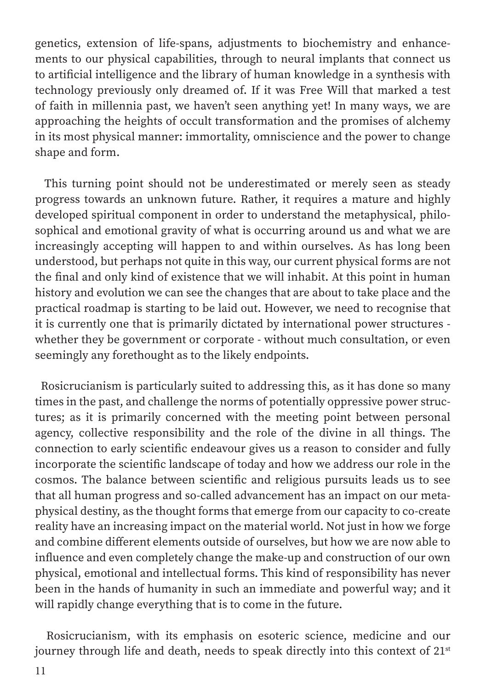genetics, extension of life-spans, adjustments to biochemistry and enhancements to our physical capabilities, through to neural implants that connect us to artificial intelligence and the library of human knowledge in a synthesis with technology previously only dreamed of. If it was Free Will that marked a test of faith in millennia past, we haven't seen anything yet! In many ways, we are approaching the heights of occult transformation and the promises of alchemy in its most physical manner: immortality, omniscience and the power to change shape and form.

 This turning point should not be underestimated or merely seen as steady progress towards an unknown future. Rather, it requires a mature and highly developed spiritual component in order to understand the metaphysical, philosophical and emotional gravity of what is occurring around us and what we are increasingly accepting will happen to and within ourselves. As has long been understood, but perhaps not quite in this way, our current physical forms are not the final and only kind of existence that we will inhabit. At this point in human history and evolution we can see the changes that are about to take place and the practical roadmap is starting to be laid out. However, we need to recognise that it is currently one that is primarily dictated by international power structures whether they be government or corporate - without much consultation, or even seemingly any forethought as to the likely endpoints.

 Rosicrucianism is particularly suited to addressing this, as it has done so many times in the past, and challenge the norms of potentially oppressive power structures; as it is primarily concerned with the meeting point between personal agency, collective responsibility and the role of the divine in all things. The connection to early scientific endeavour gives us a reason to consider and fully incorporate the scientific landscape of today and how we address our role in the cosmos. The balance between scientific and religious pursuits leads us to see that all human progress and so-called advancement has an impact on our metaphysical destiny, as the thought forms that emerge from our capacity to co-create reality have an increasing impact on the material world. Not just in how we forge and combine different elements outside of ourselves, but how we are now able to influence and even completely change the make-up and construction of our own physical, emotional and intellectual forms. This kind of responsibility has never been in the hands of humanity in such an immediate and powerful way; and it will rapidly change everything that is to come in the future.

 Rosicrucianism, with its emphasis on esoteric science, medicine and our journey through life and death, needs to speak directly into this context of 21<sup>st</sup>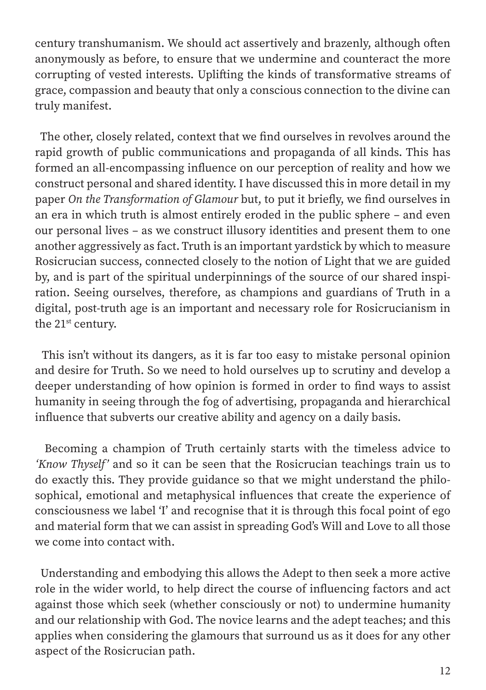century transhumanism. We should act assertively and brazenly, although often anonymously as before, to ensure that we undermine and counteract the more corrupting of vested interests. Uplifting the kinds of transformative streams of grace, compassion and beauty that only a conscious connection to the divine can truly manifest.

 The other, closely related, context that we find ourselves in revolves around the rapid growth of public communications and propaganda of all kinds. This has formed an all-encompassing influence on our perception of reality and how we construct personal and shared identity. I have discussed this in more detail in my paper *On the Transformation of Glamour* but, to put it briefly, we find ourselves in an era in which truth is almost entirely eroded in the public sphere *–* and even our personal lives *–* as we construct illusory identities and present them to one another aggressively as fact. Truth is an important yardstick by which to measure Rosicrucian success, connected closely to the notion of Light that we are guided by, and is part of the spiritual underpinnings of the source of our shared inspiration. Seeing ourselves, therefore, as champions and guardians of Truth in a digital, post-truth age is an important and necessary role for Rosicrucianism in the 21<sup>st</sup> century.

 This isn't without its dangers, as it is far too easy to mistake personal opinion and desire for Truth. So we need to hold ourselves up to scrutiny and develop a deeper understanding of how opinion is formed in order to find ways to assist humanity in seeing through the fog of advertising, propaganda and hierarchical influence that subverts our creative ability and agency on a daily basis.

 Becoming a champion of Truth certainly starts with the timeless advice to *'Know Thyself'* and so it can be seen that the Rosicrucian teachings train us to do exactly this. They provide guidance so that we might understand the philosophical, emotional and metaphysical influences that create the experience of consciousness we label 'I' and recognise that it is through this focal point of ego and material form that we can assist in spreading God's Will and Love to all those we come into contact with.

 Understanding and embodying this allows the Adept to then seek a more active role in the wider world, to help direct the course of influencing factors and act against those which seek (whether consciously or not) to undermine humanity and our relationship with God. The novice learns and the adept teaches; and this applies when considering the glamours that surround us as it does for any other aspect of the Rosicrucian path.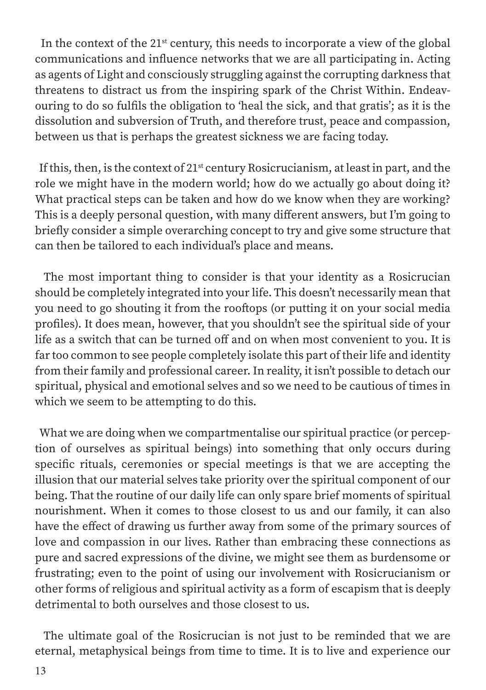In the context of the  $21^{st}$  century, this needs to incorporate a view of the global communications and influence networks that we are all participating in. Acting as agents of Light and consciously struggling against the corrupting darkness that threatens to distract us from the inspiring spark of the Christ Within. Endeavouring to do so fulfils the obligation to 'heal the sick, and that gratis'; as it is the dissolution and subversion of Truth, and therefore trust, peace and compassion, between us that is perhaps the greatest sickness we are facing today.

If this, then, is the context of  $21<sup>st</sup>$  century Rosicrucianism, at least in part, and the role we might have in the modern world; how do we actually go about doing it? What practical steps can be taken and how do we know when they are working? This is a deeply personal question, with many different answers, but I'm going to briefly consider a simple overarching concept to try and give some structure that can then be tailored to each individual's place and means.

 The most important thing to consider is that your identity as a Rosicrucian should be completely integrated into your life. This doesn't necessarily mean that you need to go shouting it from the rooftops (or putting it on your social media profiles). It does mean, however, that you shouldn't see the spiritual side of your life as a switch that can be turned off and on when most convenient to you. It is far too common to see people completely isolate this part of their life and identity from their family and professional career. In reality, it isn't possible to detach our spiritual, physical and emotional selves and so we need to be cautious of times in which we seem to be attempting to do this.

 What we are doing when we compartmentalise our spiritual practice (or perception of ourselves as spiritual beings) into something that only occurs during specific rituals, ceremonies or special meetings is that we are accepting the illusion that our material selves take priority over the spiritual component of our being. That the routine of our daily life can only spare brief moments of spiritual nourishment. When it comes to those closest to us and our family, it can also have the effect of drawing us further away from some of the primary sources of love and compassion in our lives. Rather than embracing these connections as pure and sacred expressions of the divine, we might see them as burdensome or frustrating; even to the point of using our involvement with Rosicrucianism or other forms of religious and spiritual activity as a form of escapism that is deeply detrimental to both ourselves and those closest to us.

 The ultimate goal of the Rosicrucian is not just to be reminded that we are eternal, metaphysical beings from time to time. It is to live and experience our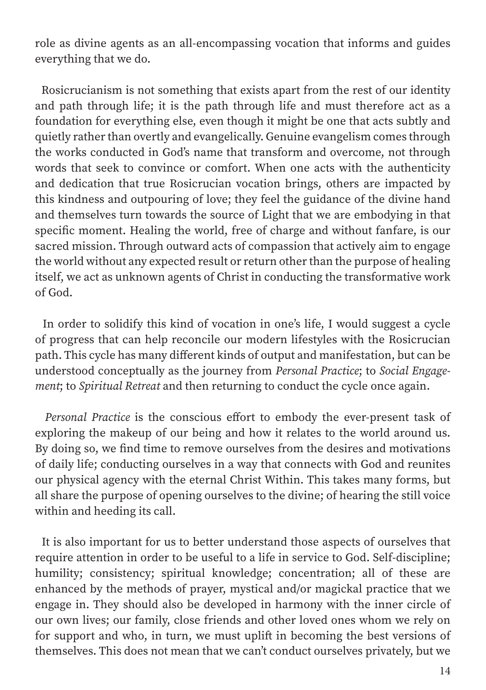role as divine agents as an all-encompassing vocation that informs and guides everything that we do.

 Rosicrucianism is not something that exists apart from the rest of our identity and path through life; it is the path through life and must therefore act as a foundation for everything else, even though it might be one that acts subtly and quietly rather than overtly and evangelically. Genuine evangelism comes through the works conducted in God's name that transform and overcome, not through words that seek to convince or comfort. When one acts with the authenticity and dedication that true Rosicrucian vocation brings, others are impacted by this kindness and outpouring of love; they feel the guidance of the divine hand and themselves turn towards the source of Light that we are embodying in that specific moment. Healing the world, free of charge and without fanfare, is our sacred mission. Through outward acts of compassion that actively aim to engage the world without any expected result or return other than the purpose of healing itself, we act as unknown agents of Christ in conducting the transformative work of God.

 In order to solidify this kind of vocation in one's life, I would suggest a cycle of progress that can help reconcile our modern lifestyles with the Rosicrucian path. This cycle has many different kinds of output and manifestation, but can be understood conceptually as the journey from *Personal Practice*; to *Social Engagement*; to *Spiritual Retreat* and then returning to conduct the cycle once again.

 *Personal Practice* is the conscious effort to embody the ever-present task of exploring the makeup of our being and how it relates to the world around us. By doing so, we find time to remove ourselves from the desires and motivations of daily life; conducting ourselves in a way that connects with God and reunites our physical agency with the eternal Christ Within. This takes many forms, but all share the purpose of opening ourselves to the divine; of hearing the still voice within and heeding its call.

 It is also important for us to better understand those aspects of ourselves that require attention in order to be useful to a life in service to God. Self-discipline; humility; consistency; spiritual knowledge; concentration; all of these are enhanced by the methods of prayer, mystical and/or magickal practice that we engage in. They should also be developed in harmony with the inner circle of our own lives; our family, close friends and other loved ones whom we rely on for support and who, in turn, we must uplift in becoming the best versions of themselves. This does not mean that we can't conduct ourselves privately, but we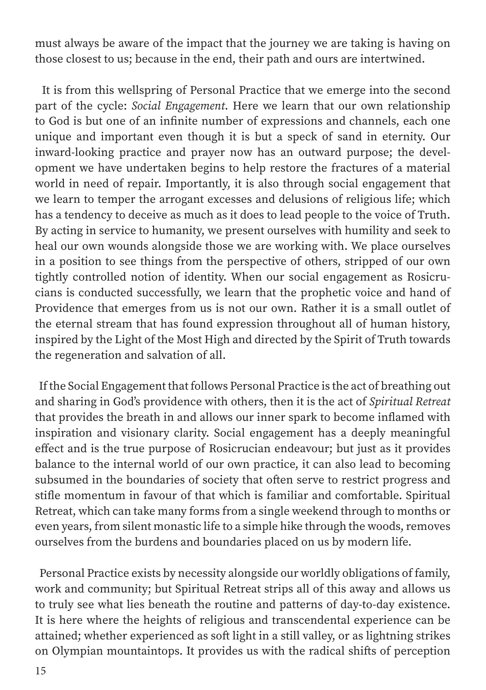must always be aware of the impact that the journey we are taking is having on those closest to us; because in the end, their path and ours are intertwined.

 It is from this wellspring of Personal Practice that we emerge into the second part of the cycle: *Social Engagement*. Here we learn that our own relationship to God is but one of an infinite number of expressions and channels, each one unique and important even though it is but a speck of sand in eternity. Our inward-looking practice and prayer now has an outward purpose; the development we have undertaken begins to help restore the fractures of a material world in need of repair. Importantly, it is also through social engagement that we learn to temper the arrogant excesses and delusions of religious life; which has a tendency to deceive as much as it does to lead people to the voice of Truth. By acting in service to humanity, we present ourselves with humility and seek to heal our own wounds alongside those we are working with. We place ourselves in a position to see things from the perspective of others, stripped of our own tightly controlled notion of identity. When our social engagement as Rosicrucians is conducted successfully, we learn that the prophetic voice and hand of Providence that emerges from us is not our own. Rather it is a small outlet of the eternal stream that has found expression throughout all of human history, inspired by the Light of the Most High and directed by the Spirit of Truth towards the regeneration and salvation of all.

 If the Social Engagement that follows Personal Practice is the act of breathing out and sharing in God's providence with others, then it is the act of *Spiritual Retreat* that provides the breath in and allows our inner spark to become inflamed with inspiration and visionary clarity. Social engagement has a deeply meaningful effect and is the true purpose of Rosicrucian endeavour; but just as it provides balance to the internal world of our own practice, it can also lead to becoming subsumed in the boundaries of society that often serve to restrict progress and stifle momentum in favour of that which is familiar and comfortable. Spiritual Retreat, which can take many forms from a single weekend through to months or even years, from silent monastic life to a simple hike through the woods, removes ourselves from the burdens and boundaries placed on us by modern life.

 Personal Practice exists by necessity alongside our worldly obligations of family, work and community; but Spiritual Retreat strips all of this away and allows us to truly see what lies beneath the routine and patterns of day-to-day existence. It is here where the heights of religious and transcendental experience can be attained; whether experienced as soft light in a still valley, or as lightning strikes on Olympian mountaintops. It provides us with the radical shifts of perception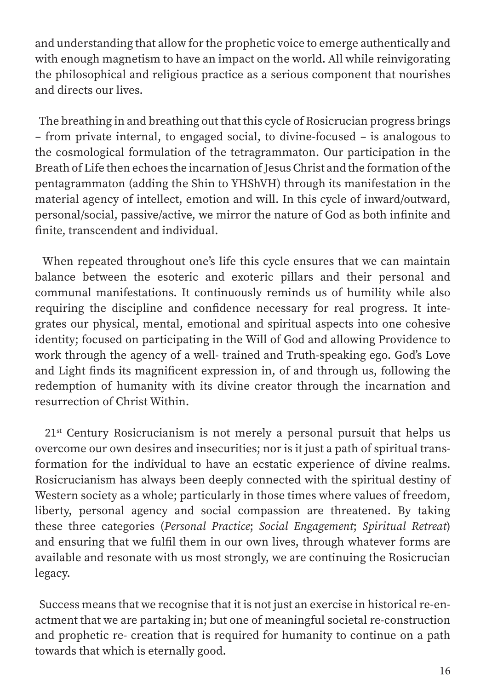and understanding that allow for the prophetic voice to emerge authentically and with enough magnetism to have an impact on the world. All while reinvigorating the philosophical and religious practice as a serious component that nourishes and directs our lives.

 The breathing in and breathing out that this cycle of Rosicrucian progress brings *–* from private internal, to engaged social, to divine-focused *–* is analogous to the cosmological formulation of the tetragrammaton. Our participation in the Breath of Life then echoes the incarnation of Jesus Christ and the formation of the pentagrammaton (adding the Shin to YHShVH) through its manifestation in the material agency of intellect, emotion and will. In this cycle of inward/outward, personal/social, passive/active, we mirror the nature of God as both infinite and finite, transcendent and individual.

 When repeated throughout one's life this cycle ensures that we can maintain balance between the esoteric and exoteric pillars and their personal and communal manifestations. It continuously reminds us of humility while also requiring the discipline and confidence necessary for real progress. It integrates our physical, mental, emotional and spiritual aspects into one cohesive identity; focused on participating in the Will of God and allowing Providence to work through the agency of a well- trained and Truth-speaking ego. God's Love and Light finds its magnificent expression in, of and through us, following the redemption of humanity with its divine creator through the incarnation and resurrection of Christ Within.

21<sup>st</sup> Century Rosicrucianism is not merely a personal pursuit that helps us overcome our own desires and insecurities; nor is it just a path of spiritual transformation for the individual to have an ecstatic experience of divine realms. Rosicrucianism has always been deeply connected with the spiritual destiny of Western society as a whole; particularly in those times where values of freedom, liberty, personal agency and social compassion are threatened. By taking these three categories (*Personal Practice*; *Social Engagement*; *Spiritual Retreat*) and ensuring that we fulfil them in our own lives, through whatever forms are available and resonate with us most strongly, we are continuing the Rosicrucian legacy.

 Success means that we recognise that it is not just an exercise in historical re-enactment that we are partaking in; but one of meaningful societal re-construction and prophetic re- creation that is required for humanity to continue on a path towards that which is eternally good.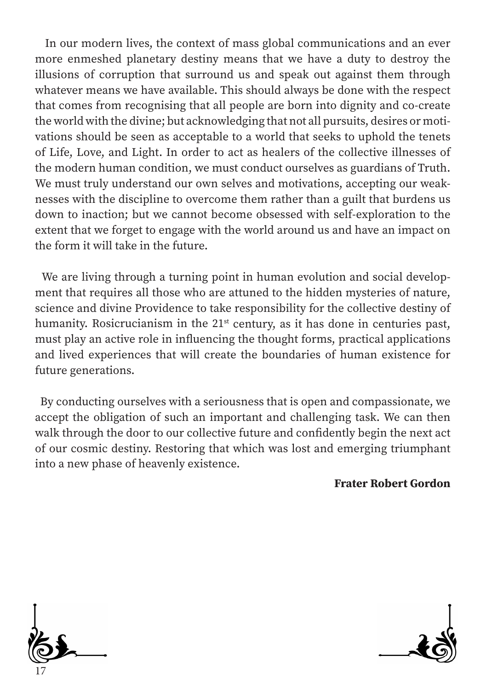In our modern lives, the context of mass global communications and an ever more enmeshed planetary destiny means that we have a duty to destroy the illusions of corruption that surround us and speak out against them through whatever means we have available. This should always be done with the respect that comes from recognising that all people are born into dignity and co-create the world with the divine; but acknowledging that not all pursuits, desires or motivations should be seen as acceptable to a world that seeks to uphold the tenets of Life, Love, and Light. In order to act as healers of the collective illnesses of the modern human condition, we must conduct ourselves as guardians of Truth. We must truly understand our own selves and motivations, accepting our weaknesses with the discipline to overcome them rather than a guilt that burdens us down to inaction; but we cannot become obsessed with self-exploration to the extent that we forget to engage with the world around us and have an impact on the form it will take in the future.

 We are living through a turning point in human evolution and social development that requires all those who are attuned to the hidden mysteries of nature, science and divine Providence to take responsibility for the collective destiny of humanity. Rosicrucianism in the 21<sup>st</sup> century, as it has done in centuries past, must play an active role in influencing the thought forms, practical applications and lived experiences that will create the boundaries of human existence for future generations.

 By conducting ourselves with a seriousness that is open and compassionate, we accept the obligation of such an important and challenging task. We can then walk through the door to our collective future and confidently begin the next act of our cosmic destiny. Restoring that which was lost and emerging triumphant into a new phase of heavenly existence.

#### Frater Robert Gordon



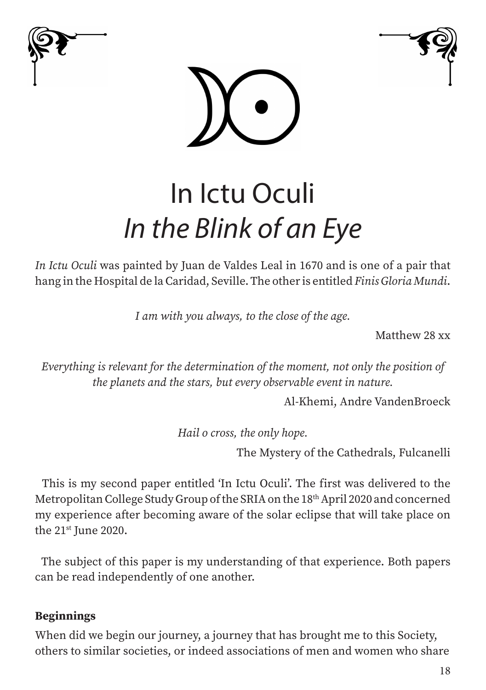





# In Ictu Oculi *In the Blink of an Eye*

*In Ictu Oculi* was painted by Juan de Valdes Leal in 1670 and is one of a pair that hang in the Hospital de la Caridad, Seville. The other is entitled *Finis Gloria Mundi*.

*I am with you always, to the close of the age.*

Matthew 28 xx

*Everything is relevant for the determination of the moment, not only the position of the planets and the stars, but every observable event in nature.*

Al-Khemi, Andre VandenBroeck

*Hail o cross, the only hope.*

The Mystery of the Cathedrals, Fulcanelli

 This is my second paper entitled 'In Ictu Oculi'. The first was delivered to the Metropolitan College Study Group of the SRIA on the 18th April 2020 and concerned my experience after becoming aware of the solar eclipse that will take place on the 21st June 2020.

 The subject of this paper is my understanding of that experience. Both papers can be read independently of one another.

#### Beginnings

When did we begin our journey, a journey that has brought me to this Society, others to similar societies, or indeed associations of men and women who share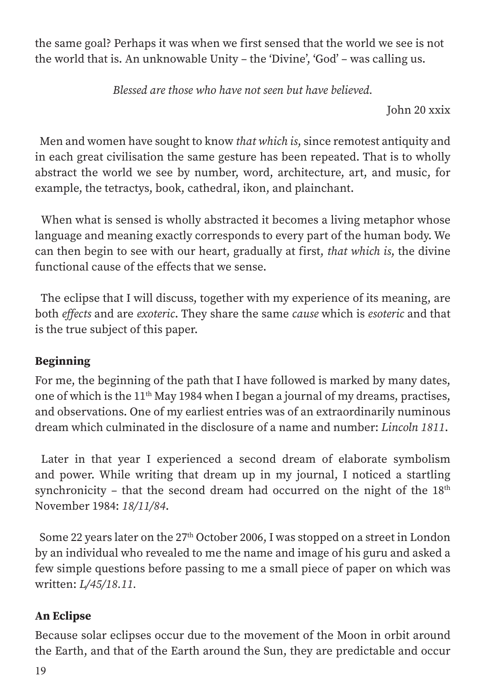the same goal? Perhaps it was when we first sensed that the world we see is not the world that is. An unknowable Unity – the 'Divine', 'God' – was calling us.

*Blessed are those who have not seen but have believed.*

John 20 xxix

 Men and women have sought to know *that which is*, since remotest antiquity and in each great civilisation the same gesture has been repeated. That is to wholly abstract the world we see by number, word, architecture, art, and music, for example, the tetractys, book, cathedral, ikon, and plainchant.

 When what is sensed is wholly abstracted it becomes a living metaphor whose language and meaning exactly corresponds to every part of the human body. We can then begin to see with our heart, gradually at first, *that which is*, the divine functional cause of the effects that we sense.

 The eclipse that I will discuss, together with my experience of its meaning, are both *effects* and are *exoteric*. They share the same *cause* which is *esoteric* and that is the true subject of this paper.

# Beginning

For me, the beginning of the path that I have followed is marked by many dates, one of which is the 11th May 1984 when I began a journal of my dreams, practises, and observations. One of my earliest entries was of an extraordinarily numinous dream which culminated in the disclosure of a name and number: *Lincoln 1811*.

 Later in that year I experienced a second dream of elaborate symbolism and power. While writing that dream up in my journal, I noticed a startling synchronicity – that the second dream had occurred on the night of the  $18<sup>th</sup>$ November 1984: *18/11/84*.

Some 22 years later on the  $27<sup>th</sup>$  October 2006, I was stopped on a street in London by an individual who revealed to me the name and image of his guru and asked a few simple questions before passing to me a small piece of paper on which was written: *L/45/18.11.*

# An Eclipse

Because solar eclipses occur due to the movement of the Moon in orbit around the Earth, and that of the Earth around the Sun, they are predictable and occur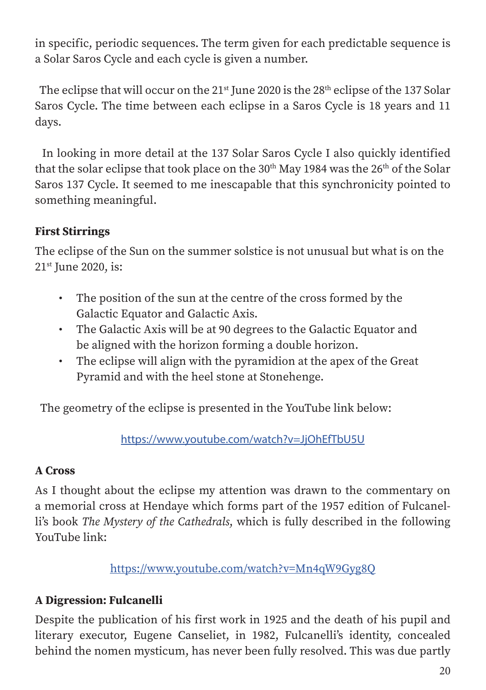in specific, periodic sequences. The term given for each predictable sequence is a Solar Saros Cycle and each cycle is given a number.

The eclipse that will occur on the  $21<sup>st</sup>$  June 2020 is the  $28<sup>th</sup>$  eclipse of the 137 Solar Saros Cycle. The time between each eclipse in a Saros Cycle is 18 years and 11 days.

 In looking in more detail at the 137 Solar Saros Cycle I also quickly identified that the solar eclipse that took place on the  $30<sup>th</sup>$  May 1984 was the  $26<sup>th</sup>$  of the Solar Saros 137 Cycle. It seemed to me inescapable that this synchronicity pointed to something meaningful.

# First Stirrings

The eclipse of the Sun on the summer solstice is not unusual but what is on the 21st June 2020, is:

- The position of the sun at the centre of the cross formed by the Galactic Equator and Galactic Axis.
- The Galactic Axis will be at 90 degrees to the Galactic Equator and be aligned with the horizon forming a double horizon.
- The eclipse will align with the pyramidion at the apex of the Great Pyramid and with the heel stone at Stonehenge.

The geometry of the eclipse is presented in the YouTube link below:

<https://www.youtube.com/watch?v=JjOhEfTbU5U>

#### A Cross

As I thought about the eclipse my attention was drawn to the commentary on a memorial cross at Hendaye which forms part of the 1957 edition of Fulcanelli's book *The Mystery of the Cathedrals*, which is fully described in the following YouTube link:

<https://www.youtube.com/watch?v=Mn4qW9Gyg8Q>

# A Digression: Fulcanelli

Despite the publication of his first work in 1925 and the death of his pupil and literary executor, Eugene Canseliet, in 1982, Fulcanelli's identity, concealed behind the nomen mysticum, has never been fully resolved. This was due partly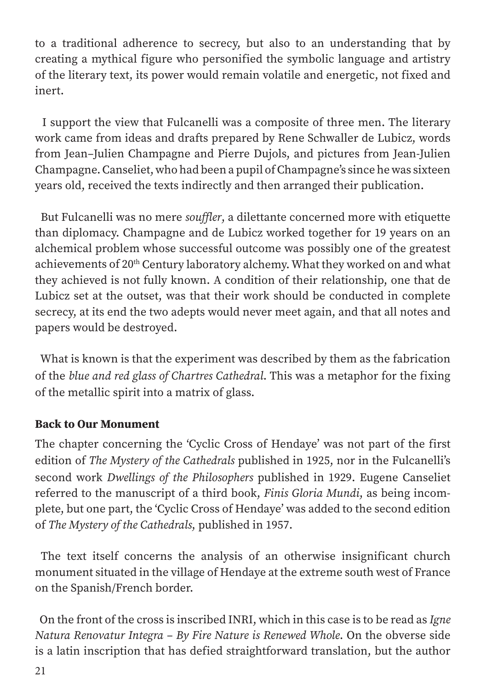to a traditional adherence to secrecy, but also to an understanding that by creating a mythical figure who personified the symbolic language and artistry of the literary text, its power would remain volatile and energetic, not fixed and inert.

 I support the view that Fulcanelli was a composite of three men. The literary work came from ideas and drafts prepared by Rene Schwaller de Lubicz, words from Jean–Julien Champagne and Pierre Dujols, and pictures from Jean-Julien Champagne. Canseliet, who had been a pupil of Champagne's since he was sixteen years old, received the texts indirectly and then arranged their publication.

 But Fulcanelli was no mere *souffler*, a dilettante concerned more with etiquette than diplomacy. Champagne and de Lubicz worked together for 19 years on an alchemical problem whose successful outcome was possibly one of the greatest achievements of 20<sup>th</sup> Century laboratory alchemy. What they worked on and what they achieved is not fully known. A condition of their relationship, one that de Lubicz set at the outset, was that their work should be conducted in complete secrecy, at its end the two adepts would never meet again, and that all notes and papers would be destroyed.

 What is known is that the experiment was described by them as the fabrication of the *blue and red glass of Chartres Cathedral*. This was a metaphor for the fixing of the metallic spirit into a matrix of glass.

#### Back to Our Monument

The chapter concerning the 'Cyclic Cross of Hendaye' was not part of the first edition of *The Mystery of the Cathedrals* published in 1925, nor in the Fulcanelli's second work *Dwellings of the Philosophers* published in 1929. Eugene Canseliet referred to the manuscript of a third book, *Finis Gloria Mundi*, as being incomplete, but one part, the 'Cyclic Cross of Hendaye' was added to the second edition of *The Mystery of the Cathedrals*, published in 1957.

 The text itself concerns the analysis of an otherwise insignificant church monument situated in the village of Hendaye at the extreme south west of France on the Spanish/French border.

 On the front of the cross is inscribed INRI, which in this case is to be read as *Igne Natura Renovatur Integra – By Fire Nature is Renewed Whole*. On the obverse side is a latin inscription that has defied straightforward translation, but the author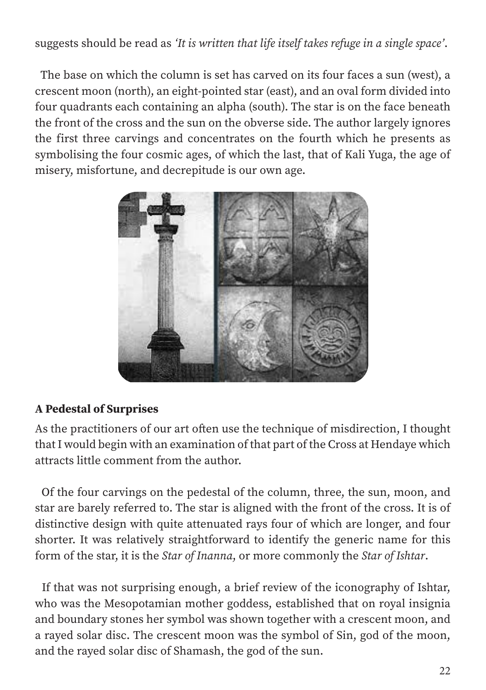suggests should be read as *'It is written that life itself takes refuge in a single space'*.

 The base on which the column is set has carved on its four faces a sun (west), a crescent moon (north), an eight-pointed star (east), and an oval form divided into four quadrants each containing an alpha (south). The star is on the face beneath the front of the cross and the sun on the obverse side. The author largely ignores the first three carvings and concentrates on the fourth which he presents as symbolising the four cosmic ages, of which the last, that of Kali Yuga, the age of misery, misfortune, and decrepitude is our own age.



#### A Pedestal of Surprises

As the practitioners of our art often use the technique of misdirection, I thought that I would begin with an examination of that part of the Cross at Hendaye which attracts little comment from the author.

 Of the four carvings on the pedestal of the column, three, the sun, moon, and star are barely referred to. The star is aligned with the front of the cross. It is of distinctive design with quite attenuated rays four of which are longer, and four shorter. It was relatively straightforward to identify the generic name for this form of the star, it is the *Star of Inanna*, or more commonly the *Star of Ishtar*.

 If that was not surprising enough, a brief review of the iconography of Ishtar, who was the Mesopotamian mother goddess, established that on royal insignia and boundary stones her symbol was shown together with a crescent moon, and a rayed solar disc. The crescent moon was the symbol of Sin, god of the moon, and the rayed solar disc of Shamash, the god of the sun.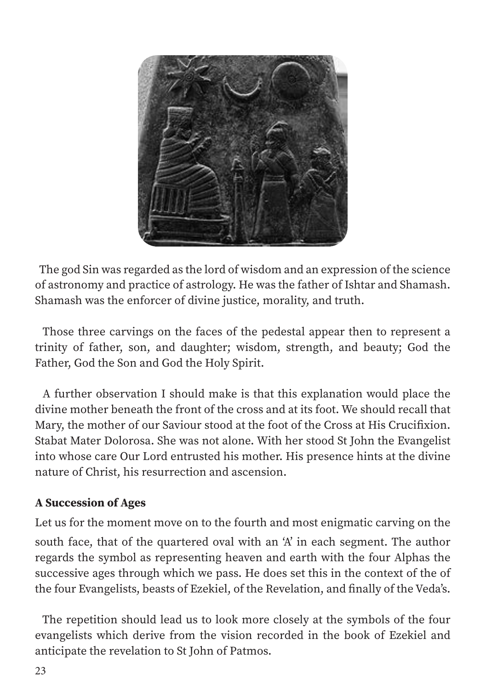

 The god Sin was regarded as the lord of wisdom and an expression of the science of astronomy and practice of astrology. He was the father of Ishtar and Shamash. Shamash was the enforcer of divine justice, morality, and truth.

 Those three carvings on the faces of the pedestal appear then to represent a trinity of father, son, and daughter; wisdom, strength, and beauty; God the Father, God the Son and God the Holy Spirit.

 A further observation I should make is that this explanation would place the divine mother beneath the front of the cross and at its foot. We should recall that Mary, the mother of our Saviour stood at the foot of the Cross at His Crucifixion. Stabat Mater Dolorosa. She was not alone. With her stood St John the Evangelist into whose care Our Lord entrusted his mother. His presence hints at the divine nature of Christ, his resurrection and ascension.

#### A Succession of Ages

Let us for the moment move on to the fourth and most enigmatic carving on the south face, that of the quartered oval with an 'A' in each segment. The author regards the symbol as representing heaven and earth with the four Alphas the successive ages through which we pass. He does set this in the context of the of the four Evangelists, beasts of Ezekiel, of the Revelation, and finally of the Veda's.

 The repetition should lead us to look more closely at the symbols of the four evangelists which derive from the vision recorded in the book of Ezekiel and anticipate the revelation to St John of Patmos.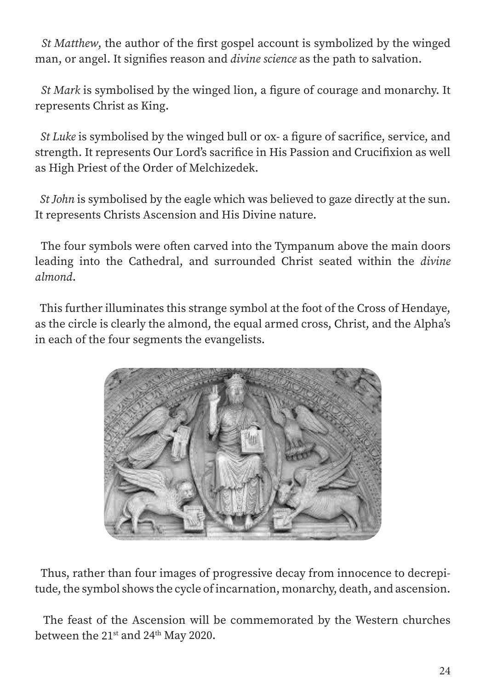*St Matthew*, the author of the first gospel account is symbolized by the winged man, or angel. It signifies reason and *divine science* as the path to salvation.

 *St Mark* is symbolised by the winged lion, a figure of courage and monarchy. It represents Christ as King.

 *St Luke* is symbolised by the winged bull or ox- a figure of sacrifice, service, and strength. It represents Our Lord's sacrifice in His Passion and Crucifixion as well as High Priest of the Order of Melchizedek.

 *St John* is symbolised by the eagle which was believed to gaze directly at the sun. It represents Christs Ascension and His Divine nature.

 The four symbols were often carved into the Tympanum above the main doors leading into the Cathedral, and surrounded Christ seated within the *divine almond*.

 This further illuminates this strange symbol at the foot of the Cross of Hendaye, as the circle is clearly the almond, the equal armed cross, Christ, and the Alpha's in each of the four segments the evangelists.



 Thus, rather than four images of progressive decay from innocence to decrepitude, the symbol shows the cycle of incarnation, monarchy, death, and ascension.

 The feast of the Ascension will be commemorated by the Western churches between the 21<sup>st</sup> and 24<sup>th</sup> May 2020.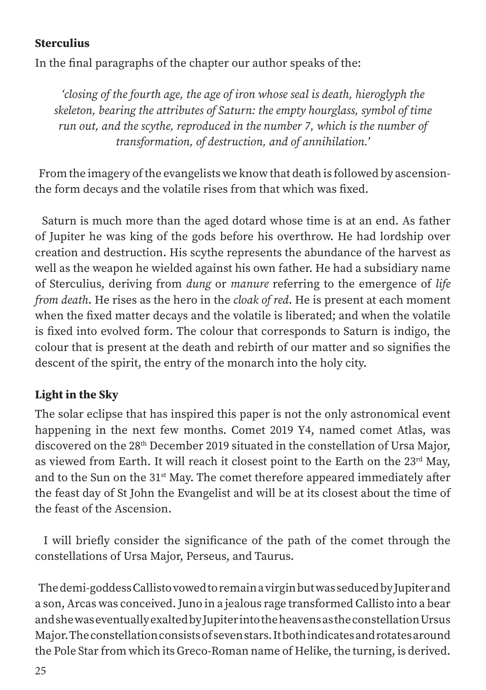#### **Sterculius**

In the final paragraphs of the chapter our author speaks of the:

*'closing of the fourth age, the age of iron whose seal is death, hieroglyph the skeleton, bearing the attributes of Saturn: the empty hourglass, symbol of time run out, and the scythe, reproduced in the number 7, which is the number of transformation, of destruction, and of annihilation.'*

 From the imagery of the evangelists we know that death is followed by ascensionthe form decays and the volatile rises from that which was fixed.

 Saturn is much more than the aged dotard whose time is at an end. As father of Jupiter he was king of the gods before his overthrow. He had lordship over creation and destruction. His scythe represents the abundance of the harvest as well as the weapon he wielded against his own father. He had a subsidiary name of Sterculius, deriving from *dung* or *manure* referring to the emergence of *life from death*. He rises as the hero in the *cloak of red*. He is present at each moment when the fixed matter decays and the volatile is liberated; and when the volatile is fixed into evolved form. The colour that corresponds to Saturn is indigo, the colour that is present at the death and rebirth of our matter and so signifies the descent of the spirit, the entry of the monarch into the holy city.

#### Light in the Sky

The solar eclipse that has inspired this paper is not the only astronomical event happening in the next few months. Comet 2019 Y4, named comet Atlas, was discovered on the 28<sup>th</sup> December 2019 situated in the constellation of Ursa Major, as viewed from Earth. It will reach it closest point to the Earth on the 23<sup>rd</sup> May, and to the Sun on the 31<sup>st</sup> May. The comet therefore appeared immediately after the feast day of St John the Evangelist and will be at its closest about the time of the feast of the Ascension.

 I will briefly consider the significance of the path of the comet through the constellations of Ursa Major, Perseus, and Taurus.

 The demi-goddess Callisto vowed to remain a virgin but was seduced by Jupiter and a son, Arcas was conceived. Juno in a jealous rage transformed Callisto into a bear and she was eventually exalted by Jupiter into the heavens as the constellation Ursus Major. The constellation consists of seven stars. It both indicates and rotates around the Pole Star from which its Greco-Roman name of Helike, the turning, is derived.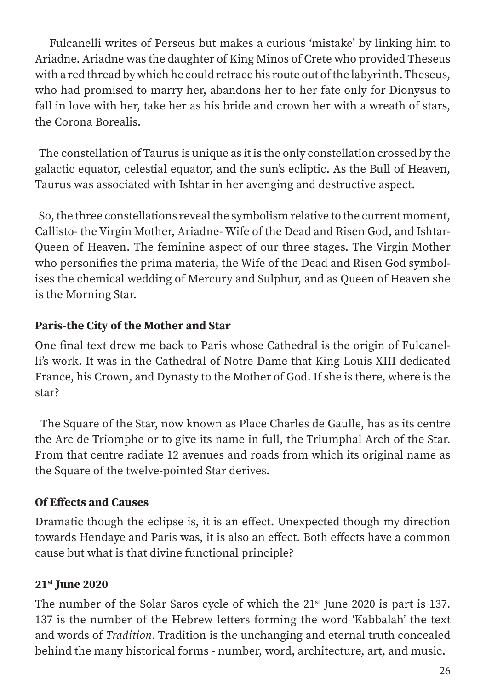Fulcanelli writes of Perseus but makes a curious 'mistake' by linking him to Ariadne. Ariadne was the daughter of King Minos of Crete who provided Theseus with a red thread by which he could retrace his route out of the labyrinth. Theseus, who had promised to marry her, abandons her to her fate only for Dionysus to fall in love with her, take her as his bride and crown her with a wreath of stars, the Corona Borealis.

 The constellation of Taurus is unique as it is the only constellation crossed by the galactic equator, celestial equator, and the sun's ecliptic. As the Bull of Heaven, Taurus was associated with Ishtar in her avenging and destructive aspect.

 So, the three constellations reveal the symbolism relative to the current moment, Callisto- the Virgin Mother, Ariadne- Wife of the Dead and Risen God, and Ishtar-Queen of Heaven. The feminine aspect of our three stages. The Virgin Mother who personifies the prima materia, the Wife of the Dead and Risen God symbolises the chemical wedding of Mercury and Sulphur, and as Queen of Heaven she is the Morning Star.

# Paris-the City of the Mother and Star

One final text drew me back to Paris whose Cathedral is the origin of Fulcanelli's work. It was in the Cathedral of Notre Dame that King Louis XIII dedicated France, his Crown, and Dynasty to the Mother of God. If she is there, where is the star?

 The Square of the Star, now known as Place Charles de Gaulle, has as its centre the Arc de Triomphe or to give its name in full, the Triumphal Arch of the Star. From that centre radiate 12 avenues and roads from which its original name as the Square of the twelve-pointed Star derives.

#### Of Effects and Causes

Dramatic though the eclipse is, it is an effect. Unexpected though my direction towards Hendaye and Paris was, it is also an effect. Both effects have a common cause but what is that divine functional principle?

# 21st June 2020

The number of the Solar Saros cycle of which the 21<sup>st</sup> June 2020 is part is 137. 137 is the number of the Hebrew letters forming the word 'Kabbalah' the text and words of *Tradition*. Tradition is the unchanging and eternal truth concealed behind the many historical forms - number, word, architecture, art, and music.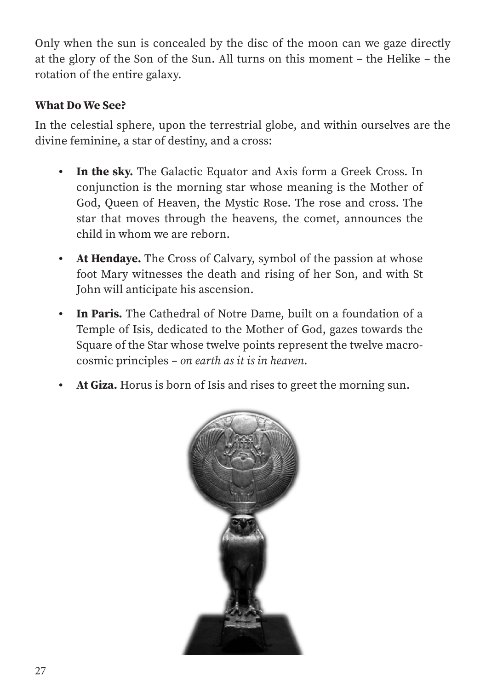Only when the sun is concealed by the disc of the moon can we gaze directly at the glory of the Son of the Sun. All turns on this moment *–* the Helike *–* the rotation of the entire galaxy.

#### What Do We See?

In the celestial sphere, upon the terrestrial globe, and within ourselves are the divine feminine, a star of destiny, and a cross:

- In the sky. The Galactic Equator and Axis form a Greek Cross. In conjunction is the morning star whose meaning is the Mother of God, Queen of Heaven, the Mystic Rose. The rose and cross. The star that moves through the heavens, the comet, announces the child in whom we are reborn.
- At Hendaye. The Cross of Calvary, symbol of the passion at whose foot Mary witnesses the death and rising of her Son, and with St John will anticipate his ascension.
- In Paris. The Cathedral of Notre Dame, built on a foundation of a Temple of Isis, dedicated to the Mother of God, gazes towards the Square of the Star whose twelve points represent the twelve macrocosmic principles *– on earth as it is in heaven*.
- At Giza. Horus is born of Isis and rises to greet the morning sun.

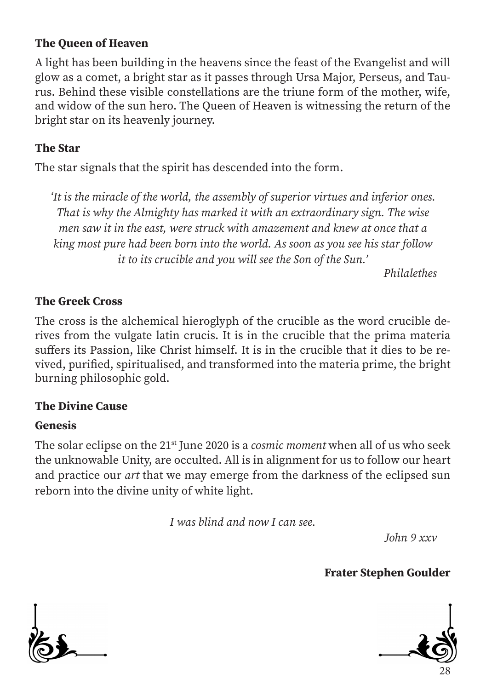#### The Queen of Heaven

A light has been building in the heavens since the feast of the Evangelist and will glow as a comet, a bright star as it passes through Ursa Major, Perseus, and Taurus. Behind these visible constellations are the triune form of the mother, wife, and widow of the sun hero. The Queen of Heaven is witnessing the return of the bright star on its heavenly journey.

#### The Star

The star signals that the spirit has descended into the form.

*'It is the miracle of the world, the assembly of superior virtues and inferior ones. That is why the Almighty has marked it with an extraordinary sign. The wise men saw it in the east, were struck with amazement and knew at once that a king most pure had been born into the world. As soon as you see his star follow it to its crucible and you will see the Son of the Sun.'*

*Philalethes*

#### The Greek Cross

The cross is the alchemical hieroglyph of the crucible as the word crucible derives from the vulgate latin crucis. It is in the crucible that the prima materia suffers its Passion, like Christ himself. It is in the crucible that it dies to be revived, purified, spiritualised, and transformed into the materia prime, the bright burning philosophic gold.

#### The Divine Cause

#### Genesis

The solar eclipse on the 21st June 2020 is a *cosmic moment* when all of us who seek the unknowable Unity, are occulted. All is in alignment for us to follow our heart and practice our *art* that we may emerge from the darkness of the eclipsed sun reborn into the divine unity of white light.

*I was blind and now I can see.*

*John 9 xxv*

Frater Stephen Goulder



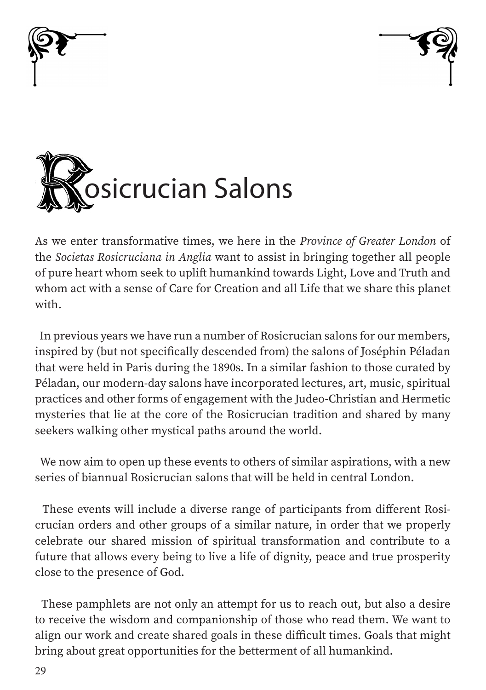





As we enter transformative times, we here in the *Province of Greater London* of the *Societas Rosicruciana in Anglia* want to assist in bringing together all people of pure heart whom seek to uplift humankind towards Light, Love and Truth and whom act with a sense of Care for Creation and all Life that we share this planet with.

 In previous years we have run a number of Rosicrucian salons for our members, inspired by (but not specifically descended from) the salons of Joséphin Péladan that were held in Paris during the 1890s. In a similar fashion to those curated by Péladan, our modern-day salons have incorporated lectures, art, music, spiritual practices and other forms of engagement with the Judeo-Christian and Hermetic mysteries that lie at the core of the Rosicrucian tradition and shared by many seekers walking other mystical paths around the world.

 We now aim to open up these events to others of similar aspirations, with a new series of biannual Rosicrucian salons that will be held in central London.

 These events will include a diverse range of participants from different Rosicrucian orders and other groups of a similar nature, in order that we properly celebrate our shared mission of spiritual transformation and contribute to a future that allows every being to live a life of dignity, peace and true prosperity close to the presence of God.

 These pamphlets are not only an attempt for us to reach out, but also a desire to receive the wisdom and companionship of those who read them. We want to align our work and create shared goals in these difficult times. Goals that might bring about great opportunities for the betterment of all humankind.